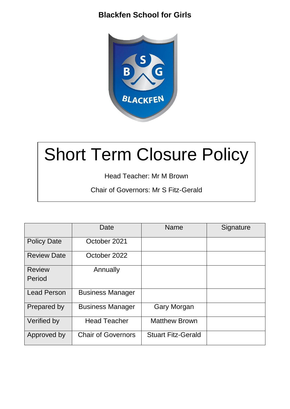

# Short Term Closure Policy

Head Teacher: Mr M Brown

Chair of Governors: Mr S Fitz-Gerald

|                    | Date                      | <b>Name</b>               | Signature |
|--------------------|---------------------------|---------------------------|-----------|
| <b>Policy Date</b> | October 2021              |                           |           |
| <b>Review Date</b> | October 2022              |                           |           |
| <b>Review</b>      | Annually                  |                           |           |
| Period             |                           |                           |           |
| <b>Lead Person</b> | <b>Business Manager</b>   |                           |           |
| Prepared by        | <b>Business Manager</b>   | Gary Morgan               |           |
| Verified by        | <b>Head Teacher</b>       | <b>Matthew Brown</b>      |           |
| Approved by        | <b>Chair of Governors</b> | <b>Stuart Fitz-Gerald</b> |           |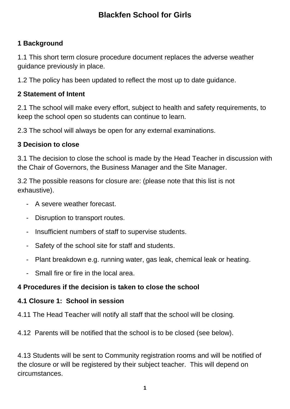## **1 Background**

1.1 This short term closure procedure document replaces the adverse weather guidance previously in place.

1.2 The policy has been updated to reflect the most up to date guidance.

#### **2 Statement of Intent**

2.1 The school will make every effort, subject to health and safety requirements, to keep the school open so students can continue to learn.

2.3 The school will always be open for any external examinations.

#### **3 Decision to close**

3.1 The decision to close the school is made by the Head Teacher in discussion with the Chair of Governors, the Business Manager and the Site Manager.

3.2 The possible reasons for closure are: (please note that this list is not exhaustive).

- A severe weather forecast.
- Disruption to transport routes.
- Insufficient numbers of staff to supervise students.
- Safety of the school site for staff and students.
- Plant breakdown e.g. running water, gas leak, chemical leak or heating.
- Small fire or fire in the local area.

#### **4 Procedures if the decision is taken to close the school**

#### **4.1 Closure 1: School in session**

4.11 The Head Teacher will notify all staff that the school will be closing.

4.12 Parents will be notified that the school is to be closed (see below).

4.13 Students will be sent to Community registration rooms and will be notified of the closure or will be registered by their subject teacher. This will depend on circumstances.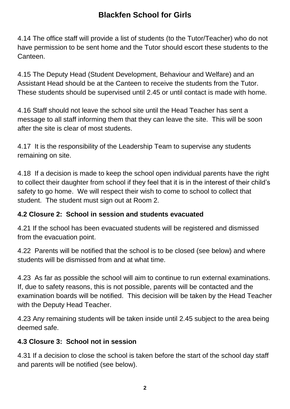4.14 The office staff will provide a list of students (to the Tutor/Teacher) who do not have permission to be sent home and the Tutor should escort these students to the **Canteen** 

4.15 The Deputy Head (Student Development, Behaviour and Welfare) and an Assistant Head should be at the Canteen to receive the students from the Tutor. These students should be supervised until 2.45 or until contact is made with home.

4.16 Staff should not leave the school site until the Head Teacher has sent a message to all staff informing them that they can leave the site. This will be soon after the site is clear of most students.

4.17 It is the responsibility of the Leadership Team to supervise any students remaining on site.

4.18 If a decision is made to keep the school open individual parents have the right to collect their daughter from school if they feel that it is in the interest of their child's safety to go home. We will respect their wish to come to school to collect that student. The student must sign out at Room 2.

#### **4.2 Closure 2: School in session and students evacuated**

4.21 If the school has been evacuated students will be registered and dismissed from the evacuation point.

4.22 Parents will be notified that the school is to be closed (see below) and where students will be dismissed from and at what time.

4.23 As far as possible the school will aim to continue to run external examinations. If, due to safety reasons, this is not possible, parents will be contacted and the examination boards will be notified. This decision will be taken by the Head Teacher with the Deputy Head Teacher.

4.23 Any remaining students will be taken inside until 2.45 subject to the area being deemed safe.

#### **4.3 Closure 3: School not in session**

4.31 If a decision to close the school is taken before the start of the school day staff and parents will be notified (see below).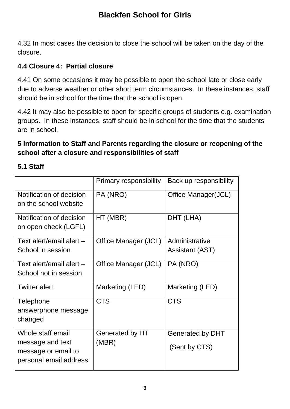4.32 In most cases the decision to close the school will be taken on the day of the closure.

#### **4.4 Closure 4: Partial closure**

4.41 On some occasions it may be possible to open the school late or close early due to adverse weather or other short term circumstances. In these instances, staff should be in school for the time that the school is open.

4.42 It may also be possible to open for specific groups of students e.g. examination groups. In these instances, staff should be in school for the time that the students are in school.

#### **5 Information to Staff and Parents regarding the closure or reopening of the school after a closure and responsibilities of staff**

|                                                                                        | <b>Primary responsibility</b> | Back up responsibility            |
|----------------------------------------------------------------------------------------|-------------------------------|-----------------------------------|
| Notification of decision<br>on the school website                                      | PA (NRO)                      | Office Manager(JCL)               |
| Notification of decision<br>on open check (LGFL)                                       | HT (MBR)                      | DHT (LHA)                         |
| Text alert/email alert -                                                               | Office Manager (JCL)          | Administrative                    |
| School in session                                                                      |                               | <b>Assistant (AST)</b>            |
| Text alert/email alert $-$<br>School not in session                                    | Office Manager (JCL)          | PA (NRO)                          |
| <b>Twitter alert</b>                                                                   | Marketing (LED)               | Marketing (LED)                   |
| <b>Telephone</b><br>answerphone message<br>changed                                     | <b>CTS</b>                    | <b>CTS</b>                        |
| Whole staff email<br>message and text<br>message or email to<br>personal email address | Generated by HT<br>(MBR)      | Generated by DHT<br>(Sent by CTS) |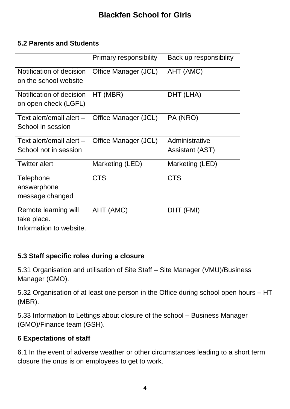#### **5.2 Parents and Students**

|                                                                | <b>Primary responsibility</b> | Back up responsibility                   |
|----------------------------------------------------------------|-------------------------------|------------------------------------------|
| Notification of decision<br>on the school website              | Office Manager (JCL)          | AHT (AMC)                                |
| Notification of decision<br>on open check (LGFL)               | HT (MBR)                      | DHT (LHA)                                |
| Text alert/email alert $-$<br>School in session                | Office Manager (JCL)          | PA (NRO)                                 |
| Text alert/email alert -<br>School not in session              | Office Manager (JCL)          | Administrative<br><b>Assistant (AST)</b> |
| <b>Twitter alert</b>                                           | Marketing (LED)               | Marketing (LED)                          |
| Telephone<br>answerphone<br>message changed                    | <b>CTS</b>                    | <b>CTS</b>                               |
| Remote learning will<br>take place.<br>Information to website. | AHT (AMC)                     | DHT (FMI)                                |

## **5.3 Staff specific roles during a closure**

5.31 Organisation and utilisation of Site Staff – Site Manager (VMU)/Business Manager (GMO).

5.32 Organisation of at least one person in the Office during school open hours – HT (MBR).

5.33 Information to Lettings about closure of the school – Business Manager (GMO)/Finance team (GSH).

#### **6 Expectations of staff**

6.1 In the event of adverse weather or other circumstances leading to a short term closure the onus is on employees to get to work.